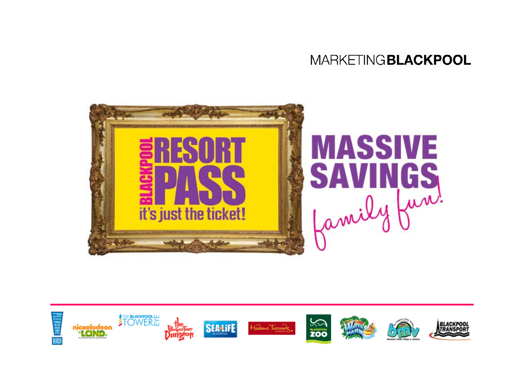

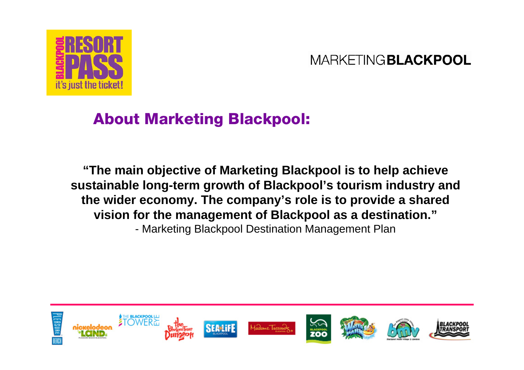

### About Marketing Blackpool:

**"The main objective of Marketing Blackpool is to help achieve sustainable long-term growth of Blackpool's tourism industry and the wider economy. The company's role is to provide a shared vision for the management of Blackpool as a destination."** - Marketing Blackpool Destination Management Plan

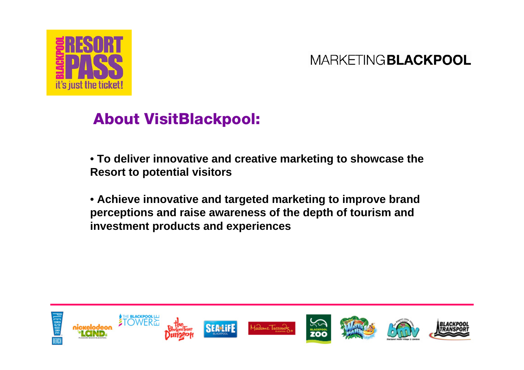

## About VisitBlackpool:

- **To deliver innovative and creative marketing to showcase the Resort to potential visitors**
- **Achieve innovative and targeted marketing to improve brand perceptions and raise awareness of the depth of tourism and investment products and experiences**

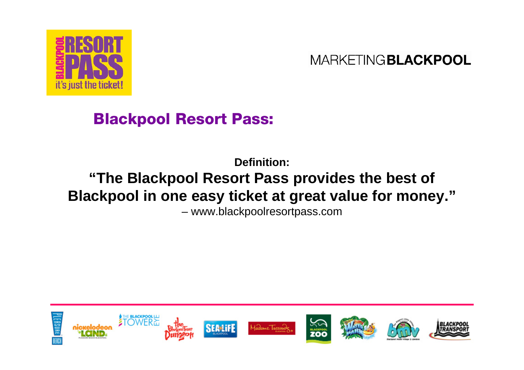

# Blackpool Resort Pass:

# **Definition:"The Blackpool Resort Pass provides the best of Blackpool in one easy ticket at great value for money."**

– www.blackpoolresortpass.com

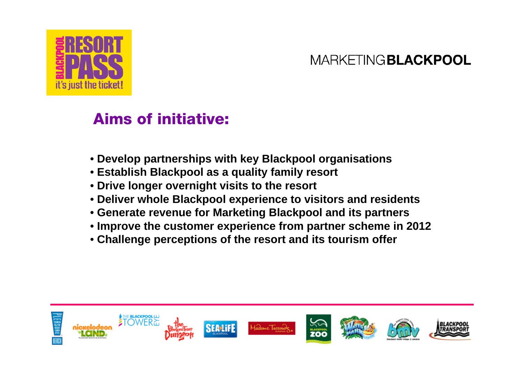

## Aims of initiative:

- **Develop partnerships with key Blackpool organisations**
- **Establish Blackpool as a quality family resort**
- **Drive longer overnight visits to the resort**
- **Deliver whole Blackpool experience to visitors and residents**
- **Generate revenue for Marketing Blackpool and its partners**
- **Improve the customer experience from partner scheme in 2012**
- **Challenge perceptions of the resort and its tourism offer**

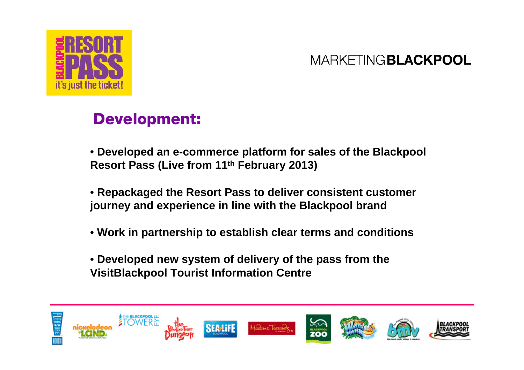

## Development:

- **Developed an e-commerce platform for sales of the Blackpool Resort Pass (Live from 11th February 2013)**
- **Repackaged the Resort Pass to deliver consistent customer journey and experience in line with the Blackpool brand**
- **Work in partnership to establish clear terms and conditions**
- **Developed new system of delivery of the pass from the VisitBlackpool Tourist Information Centre**

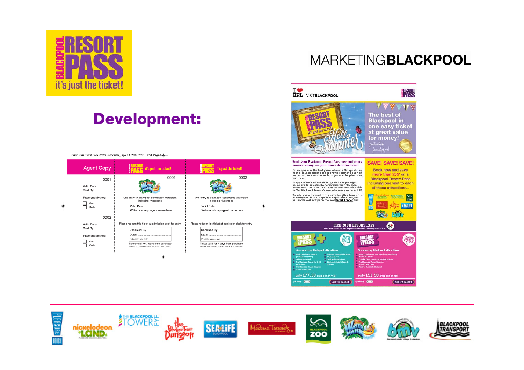

# Development:

| <b>Agent Copy</b>                                                 | it's just the ticket!                                                                                                   | it's just the ticket!                                                                                                                  |
|-------------------------------------------------------------------|-------------------------------------------------------------------------------------------------------------------------|----------------------------------------------------------------------------------------------------------------------------------------|
| 0001<br>Valid Date:<br>Sold By:                                   | 0001                                                                                                                    | 0002                                                                                                                                   |
| <b>Payment Method:</b><br>Card<br>Cash                            | One entry to Blackpool Sandcastle Waterpark<br>including Hyperzone<br>Valid Date:<br>Write or stamp agent name here     | One entry to Blackpool Sandcastle Waterpark<br>including Hyperzone<br>Valid Date:<br>Write or stamp agent name here                    |
| 0002<br>Valid Date:<br>Sold By:<br><b>Payment Method:</b><br>Card | Please redeem this ticket at admission desk for entry<br>(Attraction use only)<br>Ticket valid for 7 days from purchase | Please redeem this ticket at admission desk for entry<br>Received By<br>(Attraction use only)<br>Ticket valid for 7 days from purchase |
| Cash                                                              | Please see reverse for full terms & conditions                                                                          | Please see reverse for full terms & conditions                                                                                         |

#### **MARKETINGBLACKPOOL**



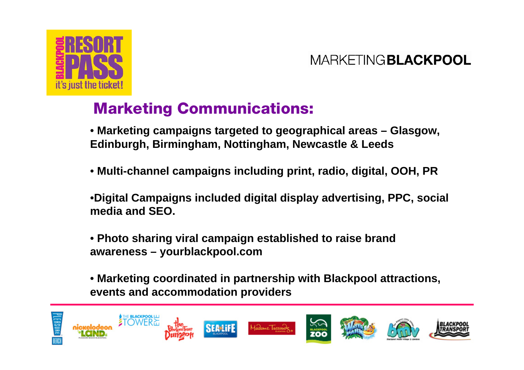



## Marketing Communications:

• **Marketing campaigns targeted to geographical areas – Glasgow, Edinburgh, Birmingham, Nottingham, Newcastle & Leeds**

- **Multi-channel campaigns including print, radio, digital, OOH, PR**
- •**Digital Campaigns included digital display advertising, PPC, social media and SEO.**
- **Photo sharing viral campaign established to raise brand awareness – yourblackpool.com**
- **Marketing coordinated in partnership with Blackpool attractions, events and accommodation providers**

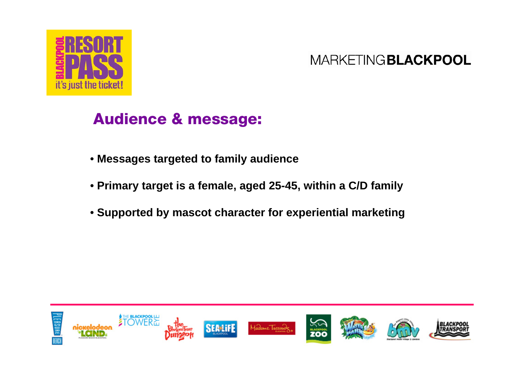

## Audience & message:

- **Messages targeted to family audience**
- **Primary target is a female, aged 25-45, within a C/D family**
- **Supported by mascot character for experiential marketing**

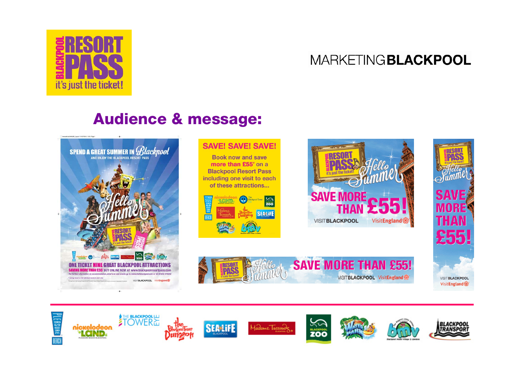

## Audience & message:



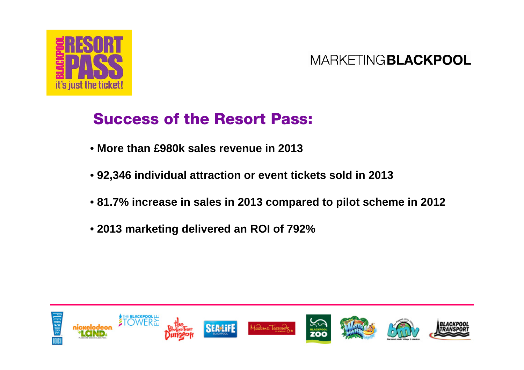

## Success of the Resort Pass:

- **More than £980k sales revenue in 2013**
- **92,346 individual attraction or event tickets sold in 2013**
- **81.7% increase in sales in 2013 compared to pilot scheme in 2012**
- **2013 marketing delivered an ROI of 792%**